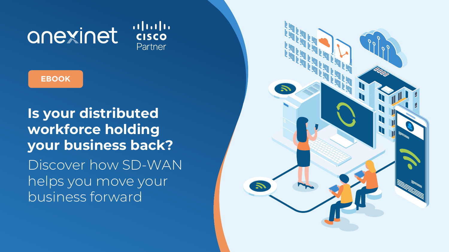# anexinet

 $1111111$ **CISCO** Partner

**Is your distributed workforce holding your business back?** Discover how SD-WAN helps you move your business forward



**EBOOK**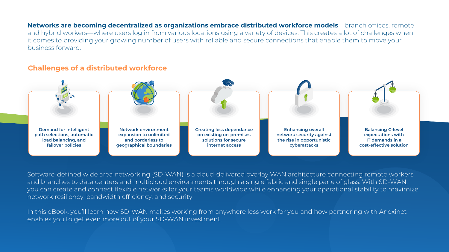Software-defined wide area networking (SD-WAN) is a cloud-delivered overlay WAN architecture connecting remote workers and branches to data centers and multicloud environments through a single fabric and single pane of glass. With SD-WAN, you can create and connect flexible networks for your teams worldwide while enhancing your operational stability to maximize network resiliency, bandwidth efficiency, and security.

In this eBook, you'll learn how SD-WAN makes working from anywhere less work for you and how partnering with Anexinet enables you to get even more out of your SD-WAN investment.

### **Challenges of a distributed workforce**

**Networks are becoming decentralized as organizations embrace distributed workforce models**—branch offices, remote and hybrid workers—where users log in from various locations using a variety of devices. This creates a lot of challenges when it comes to providing your growing number of users with reliable and secure connections that enable them to move your business forward.



**Balancing C-level expectations with IT demands in a cost-effective solution**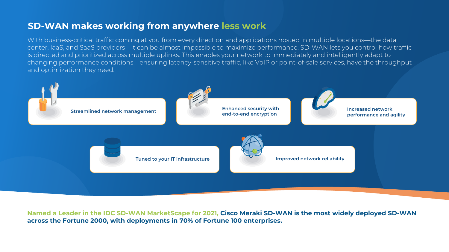# **SD-WAN makes working from anywhere less work**

With business-critical traffic coming at you from every direction and applications hosted in multiple locations—the data center, IaaS, and SaaS providers—it can be almost impossible to maximize performance. SD-WAN lets you control how traffic is directed and prioritized across multiple uplinks. This enables your network to immediately and intelligently adapt to changing performance conditions—ensuring latency-sensitive traffic, like VoIP or point-of-sale services, have the throughput and optimization they need.

**Named a Leader in the IDC SD-WAN MarketScape for 2021, Cisco Meraki SD-WAN is the most widely deployed SD-WAN across the Fortune 2000, with deployments in 70% of Fortune 100 enterprises.** 

**performance and agility**

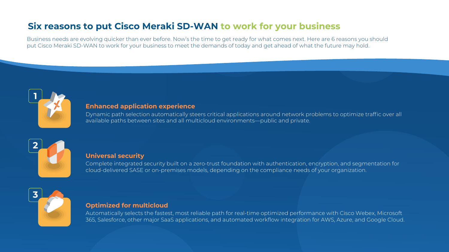Business needs are evolving quicker than ever before. Now's the time to get ready for what comes next. Here are 6 reasons you should put Cisco Meraki SD-WAN to work for your business to meet the demands of today and get ahead of what the future may hold.

# **Six reasons to put Cisco Meraki SD-WAN to work for your business**







### **Enhanced application experience**

Dynamic path selection automatically steers critical applications around network problems to optimize traffic over all available paths between sites and all multicloud environments—public and private.

### **Universal security**

Complete integrated security built on a zero-trust foundation with authentication, encryption, and segmentation for cloud-delivered SASE or on-premises models, depending on the compliance needs of your organization.

### **Optimized for multicloud**

Automatically selects the fastest, most reliable path for real-time optimized performance with Cisco Webex, Microsoft 365, Salesforce, other major SaaS applications, and automated workflow integration for AWS, Azure, and Google Cloud.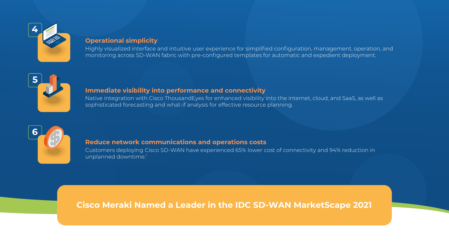## **Cisco Meraki Named a Leader in the [IDC SD-WAN MarketScape 2021](https://merakiresources.cisco.com/GB-21-SASE-CD-IDC_MarketSpace_Report-REG.html)**









### **Operational simplicity**

Highly visualized interface and intuitive user experience for simplified configuration, management, operation, and monitoring across SD-WAN fabric with pre-configured templates for automatic and expedient deployment.

Customers deploying Cisco SD-WAN have experienced 65% lower cost of connectivity and 94% reduction in unplanned downtime.<sup>1</sup>

### **Immediate visibility into performance and connectivity**

Native integration with Cisco ThousandEyes for enhanced visibility into the internet, cloud, and SaaS, as well as sophisticated forecasting and what-if analysis for effective resource planning.

### **Reduce network communications and operations costs**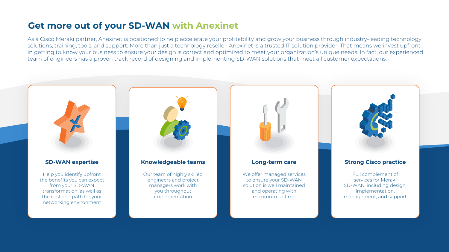# **Get more out of your SD-WAN with Anexinet**

As a Cisco Meraki partner, Anexinet is positioned to help accelerate your profitability and grow your business through industry-leading technology solutions, training, tools, and support. More than just a technology reseller, Anexinet is a trusted IT solution provider. That means we invest upfront in getting to know your business to ensure your design is correct and optimized to meet your organization's unique needs. In fact, our experienced team of engineers has a proven track record of designing and implementing SD-WAN solutions that meet all customer expectations.



Full complement of services for Meraki SD-WAN, including design, management, and support